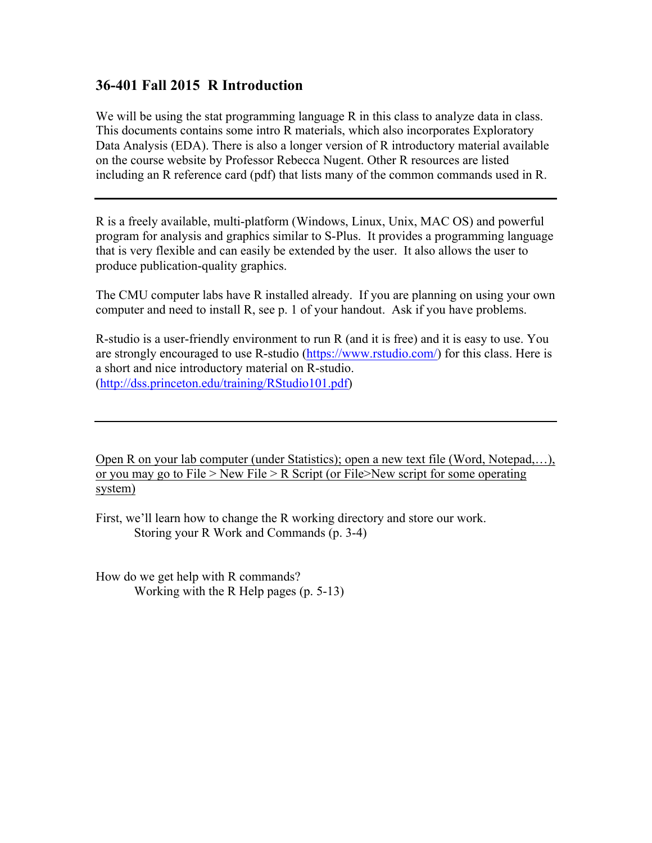#### **36-401 Fall 2015 R Introduction**

We will be using the stat programming language R in this class to analyze data in class. This documents contains some intro R materials, which also incorporates Exploratory Data Analysis (EDA). There is also a longer version of R introductory material available on the course website by Professor Rebecca Nugent. Other R resources are listed including an R reference card (pdf) that lists many of the common commands used in R.

R is a freely available, multi-platform (Windows, Linux, Unix, MAC OS) and powerful program for analysis and graphics similar to S-Plus. It provides a programming language that is very flexible and can easily be extended by the user. It also allows the user to produce publication-quality graphics.

The CMU computer labs have R installed already. If you are planning on using your own computer and need to install R, see p. 1 of your handout. Ask if you have problems.

R-studio is a user-friendly environment to run R (and it is free) and it is easy to use. You are strongly encouraged to use R-studio (https://www.rstudio.com/) for this class. Here is a short and nice introductory material on R-studio. (http://dss.princeton.edu/training/RStudio101.pdf)

Open R on your lab computer (under Statistics); open a new text file (Word, Notepad,…), or you may go to File > New File > R Script (or File>New script for some operating system)

First, we'll learn how to change the R working directory and store our work. Storing your R Work and Commands (p. 3-4)

How do we get help with R commands? Working with the R Help pages (p. 5-13)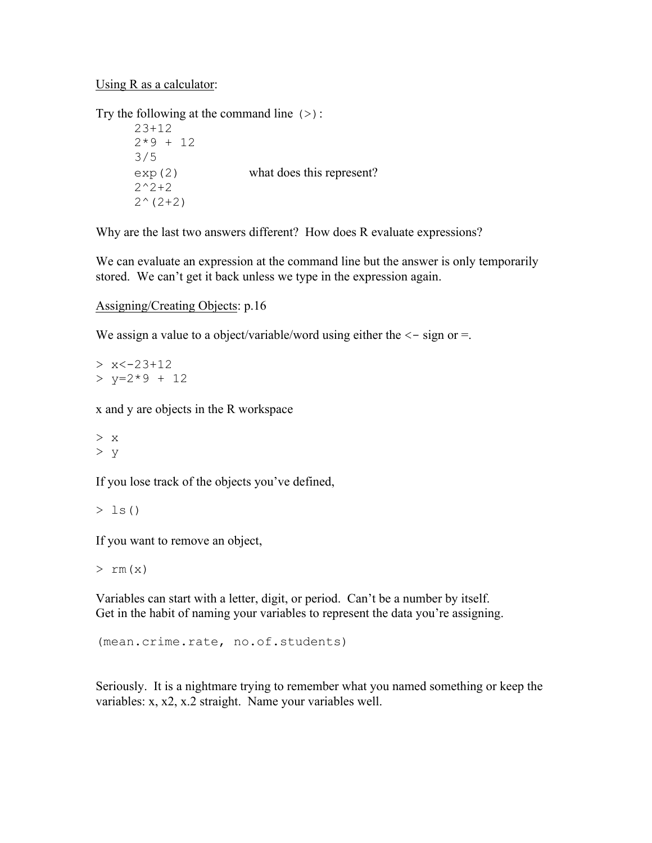#### Using R as a calculator:

Try the following at the command line  $(>)$ :

23+12  $2*9 + 12$ 3/5 exp(2) what does this represent?  $2^2+2$  $2^{\wedge}(2+2)$ 

Why are the last two answers different? How does R evaluate expressions?

We can evaluate an expression at the command line but the answer is only temporarily stored. We can't get it back unless we type in the expression again.

```
Assigning/Creating Objects: p.16
```
We assign a value to a object/variable/word using either the  $\leq$  - sign or =.

```
> x < -23 + 12> y=2*9 + 12
```
x and y are objects in the R workspace

> x  $> y$ 

If you lose track of the objects you've defined,

 $> 1s()$ 

If you want to remove an object,

 $>$  rm  $(x)$ 

Variables can start with a letter, digit, or period. Can't be a number by itself. Get in the habit of naming your variables to represent the data you're assigning.

(mean.crime.rate, no.of.students)

Seriously. It is a nightmare trying to remember what you named something or keep the variables: x, x2, x.2 straight. Name your variables well.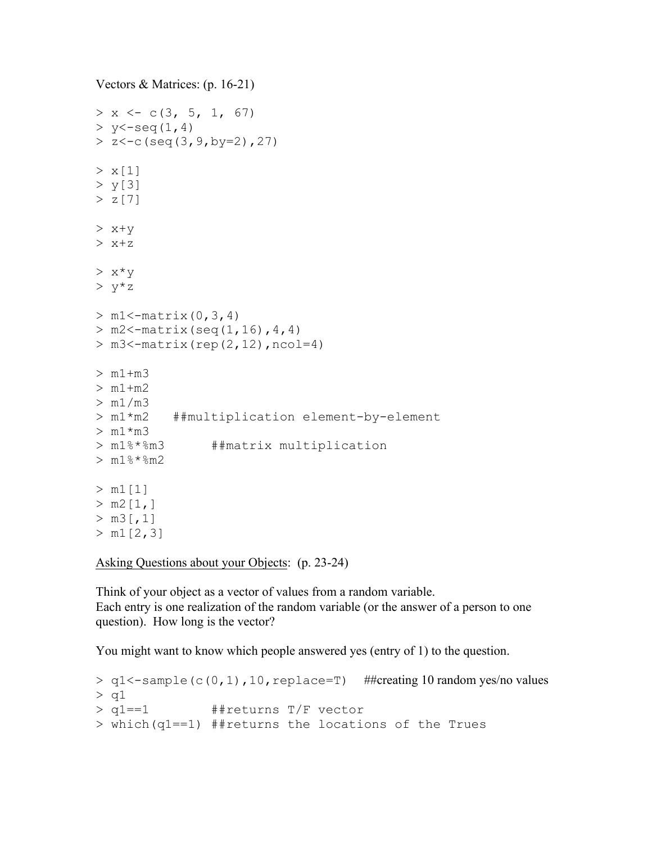```
Vectors & Matrices: (p. 16-21)
> x < -c(3, 5, 1, 67)> y < -seq(1, 4)> z < -c (seq(3,9,by=2),27)
> x[1]> y[3]
> z[7]> x+y> x+z
> x * v> y * z> m1 < - matrix (0, 3, 4)> m2 < -matrix(seq(1,16),4,4)> m3 < - matrix (rep(2, 12), ncol=4)
> m1+m3
> m1+m2
> m1/m3> m1*m2 ##multiplication element-by-element
> m1*m3> m1%*%m3 ##matrix multiplication
> m1\%*m2> m1[1]> m2[1, ]> m3[, 1]
> m1[2,3]
```
Asking Questions about your Objects: (p. 23-24)

Think of your object as a vector of values from a random variable. Each entry is one realization of the random variable (or the answer of a person to one question). How long is the vector?

You might want to know which people answered yes (entry of 1) to the question.

```
> q1<-sample(c(0,1),10, replace=T) ##creating 10 random yes/no values
> q1
> q1==1 ##returns T/F vector
> which(q1==1) ##returns the locations of the Trues
```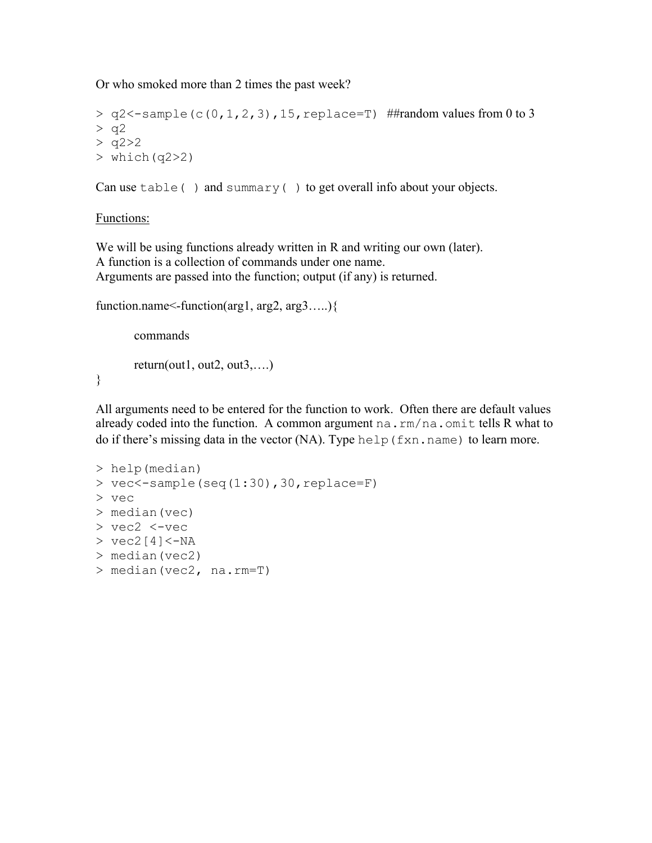Or who smoked more than 2 times the past week?

```
> q2<-sample(c(0,1,2,3),15,replace=T) ##random values from 0 to 3
> q2> q2 > 2> which(q2>2)
```
Can use  $table( )$  and summary() to get overall info about your objects.

#### Functions:

}

We will be using functions already written in R and writing our own (later). A function is a collection of commands under one name. Arguments are passed into the function; output (if any) is returned.

```
function.name<-function(arg1, arg2, arg3…..){
```

```
commands
return(out1, out2, out3,...)
```
All arguments need to be entered for the function to work. Often there are default values already coded into the function. A common argument na.rm/na.omit tells R what to do if there's missing data in the vector (NA). Type help(fxn.name) to learn more.

```
> help(median)
> vec\le-sample(seq(1:30),30, replace=F)
> vec
> median(vec)
> vec2 <-vec
> vec2[4] <-NA> median(vec2)
> median(vec2, na.rm=T)
```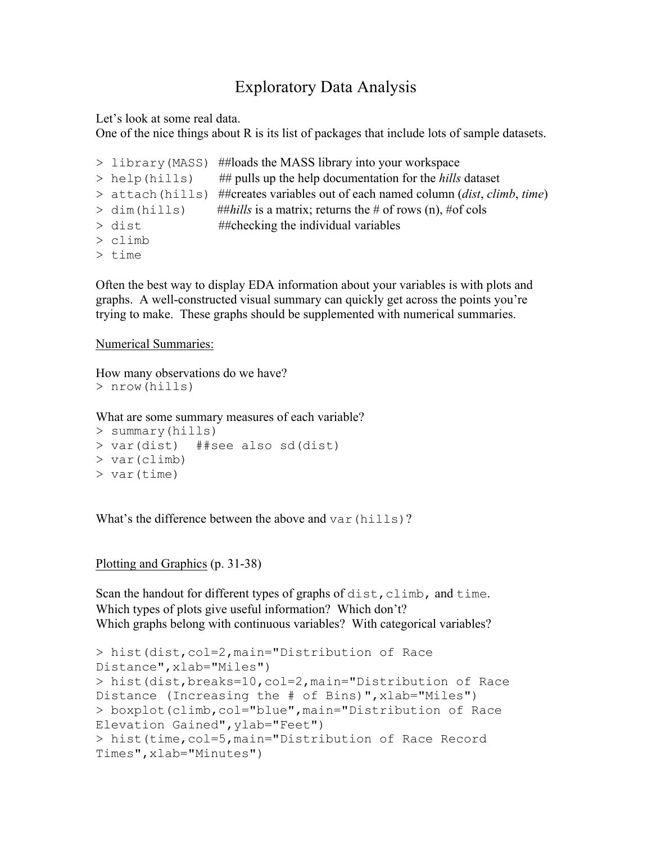### Exploratory Data Analysis

Let's look at some real data.

One of the nice things about R is its list of packages that include lots of sample datasets.

> library(MASS) ##loads the MASS library into your workspace > help(hills) ## pulls up the help documentation for the *hills* dataset > attach(hills) ##creates variables out of each named column (*dist*, *climb*, *time*)  $>$  dim(hills) ##*hills* is a matrix; returns the # of rows (n), #of cols  $>$  dist  $#$ thecking the individual variables > climb

> time

Often the best way to display EDA information about your variables is with plots and graphs. A well-constructed visual summary can quickly get across the points you're trying to make. These graphs should be supplemented with numerical summaries.

Numerical Summaries:

How many observations do we have? > nrow(hills)

What are some summary measures of each variable?

```
> summary(hills)
> var(dist) ##see also sd(dist)
> var(climb)
> var(time)
```
What's the difference between the above and  $var(hills)$ ?

Plotting and Graphics (p. 31-38)

Scan the handout for different types of graphs of dist, climb, and time. Which types of plots give useful information? Which don't? Which graphs belong with continuous variables? With categorical variables?

```
> hist(dist,col=2,main="Distribution of Race 
Distance",xlab="Miles")
> hist(dist,breaks=10,col=2,main="Distribution of Race 
Distance (Increasing the # of Bins)",xlab="Miles")
> boxplot(climb,col="blue",main="Distribution of Race 
Elevation Gained",ylab="Feet")
> hist(time,col=5,main="Distribution of Race Record 
Times",xlab="Minutes")
```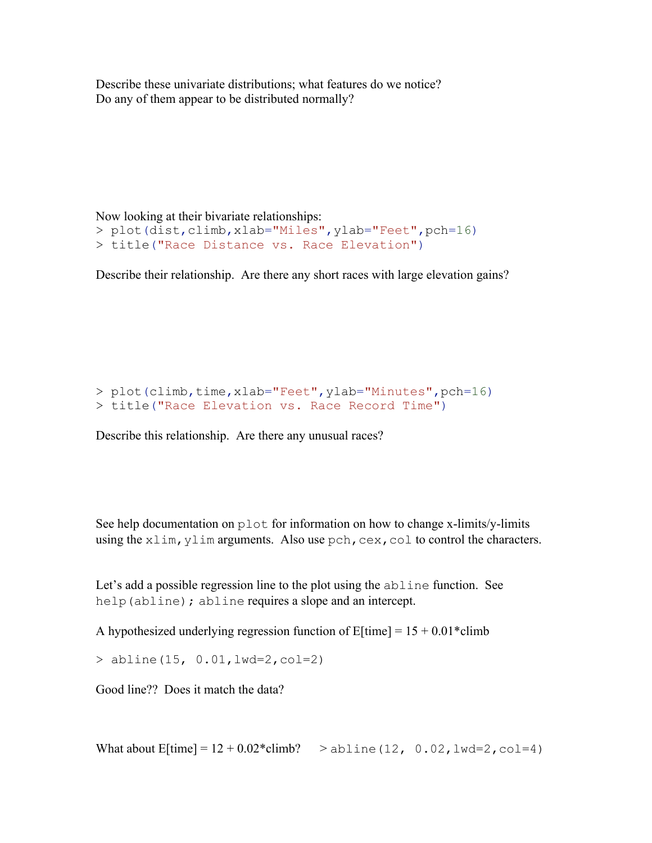Describe these univariate distributions; what features do we notice? Do any of them appear to be distributed normally?

Now looking at their bivariate relationships: > plot(dist,climb,xlab="Miles",ylab="Feet",pch=16) > title("Race Distance vs. Race Elevation")

Describe their relationship. Are there any short races with large elevation gains?

> plot(climb,time,xlab="Feet",ylab="Minutes",pch=16) > title("Race Elevation vs. Race Record Time")

Describe this relationship. Are there any unusual races?

See help documentation on plot for information on how to change x-limits/y-limits using the  $x \lim_{y \to y}$  vim arguments. Also use pch, cex, col to control the characters.

Let's add a possible regression line to the plot using the abline function. See help(abline); abline requires a slope and an intercept.

A hypothesized underlying regression function of  $E[\text{time}] = 15 + 0.01*$ climb

 $>$  abline(15, 0.01, lwd=2, col=2)

Good line?? Does it match the data?

What about  $E[\text{time}] = 12 + 0.02 \cdot \text{climb?}$  > abline (12, 0.02, lwd=2, col=4)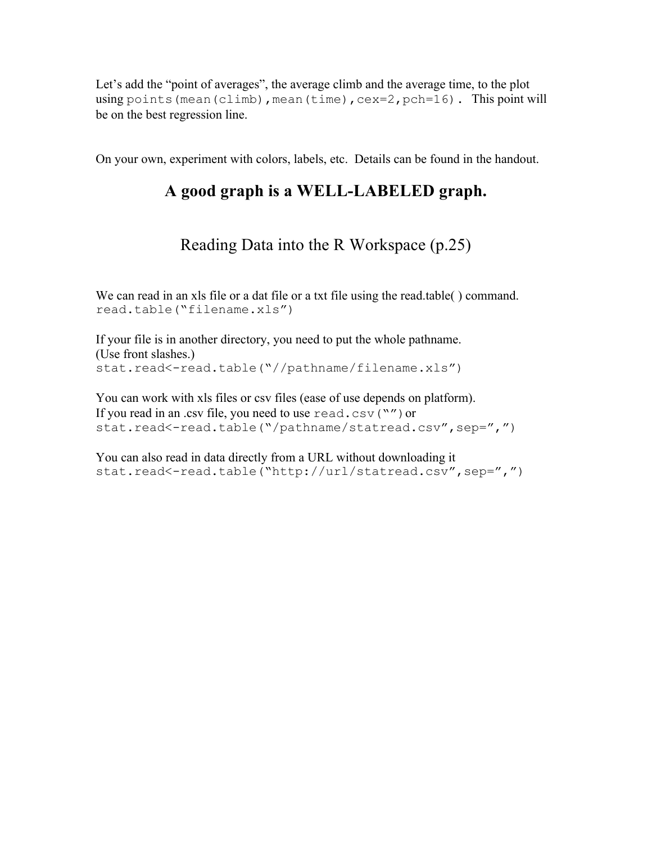Let's add the "point of averages", the average climb and the average time, to the plot using points (mean(climb), mean(time),  $cex=2$ ,  $pch=16$ ). This point will be on the best regression line.

On your own, experiment with colors, labels, etc. Details can be found in the handout.

# **A good graph is a WELL-LABELED graph.**

# Reading Data into the R Workspace (p.25)

We can read in an xls file or a dat file or a txt file using the read.table( ) command. read.table("filename.xls")

If your file is in another directory, you need to put the whole pathname. (Use front slashes.) stat.read<-read.table("//pathname/filename.xls")

You can work with xls files or csv files (ease of use depends on platform). If you read in an .csv file, you need to use read.csv( $"$ ) or stat.read<-read.table("/pathname/statread.csv",sep=",")

You can also read in data directly from a URL without downloading it stat.read<-read.table("http://url/statread.csv",sep=",")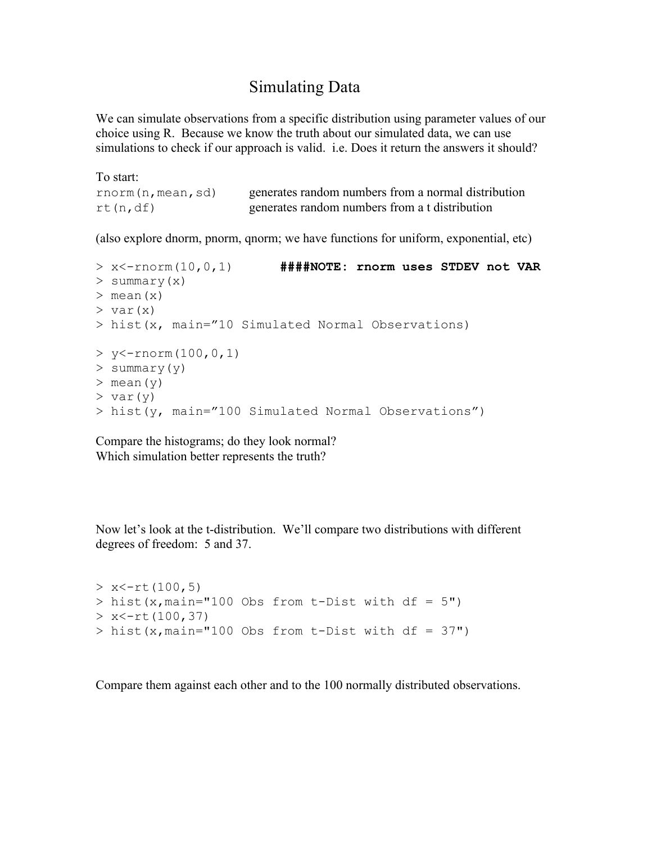### Simulating Data

We can simulate observations from a specific distribution using parameter values of our choice using R. Because we know the truth about our simulated data, we can use simulations to check if our approach is valid. i.e. Does it return the answers it should?

To start: rnorm(n,mean, sd) generates random numbers from a normal distribution rt(n,df) generates random numbers from a t distribution

(also explore dnorm, pnorm, qnorm; we have functions for uniform, exponential, etc)

```
> x<-rnorm(10,0,1) ####NOTE: rnorm uses STDEV not VAR
> summary(x)
> mean(x)
> var(x)
> hist(x, main="10 Simulated Normal Observations)
> y < -rnorm(100, 0, 1)> summary(y)
> mean(y)
> var(y)
> hist(y, main="100 Simulated Normal Observations")
```
Compare the histograms; do they look normal? Which simulation better represents the truth?

Now let's look at the t-distribution. We'll compare two distributions with different degrees of freedom: 5 and 37.

```
> x < -rt(100, 5)> hist(x, main="100 Obs from t-Dist with df = 5")
> x < -rt(100, 37)> hist(x, main="100 Obs from t-Dist with df = 37")
```
Compare them against each other and to the 100 normally distributed observations.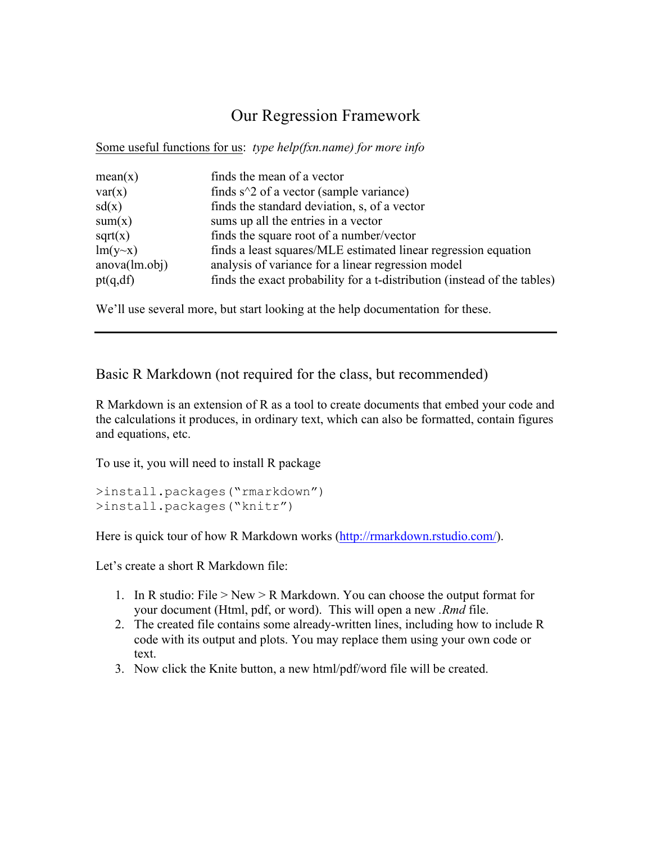# Our Regression Framework

Some useful functions for us: *type help(fxn.name) for more info*

| mean(x)        | finds the mean of a vector                                               |
|----------------|--------------------------------------------------------------------------|
| var(x)         | finds $s^2$ of a vector (sample variance)                                |
| sd(x)          | finds the standard deviation, s, of a vector                             |
| sum(x)         | sums up all the entries in a vector                                      |
| sqrt(x)        | finds the square root of a number/vector                                 |
| $lm(y \sim x)$ | finds a least squares/MLE estimated linear regression equation           |
| anova(lm.obj)  | analysis of variance for a linear regression model                       |
| pt(q, df)      | finds the exact probability for a t-distribution (instead of the tables) |
|                |                                                                          |

We'll use several more, but start looking at the help documentation for these.

#### Basic R Markdown (not required for the class, but recommended)

R Markdown is an extension of R as a tool to create documents that embed your code and the calculations it produces, in ordinary text, which can also be formatted, contain figures and equations, etc.

To use it, you will need to install R package

```
>install.packages("rmarkdown")
>install.packages("knitr")
```
Here is quick tour of how R Markdown works (http://rmarkdown.rstudio.com/).

Let's create a short R Markdown file:

- 1. In R studio: File > New > R Markdown. You can choose the output format for your document (Html, pdf, or word). This will open a new *.Rmd* file.
- 2. The created file contains some already-written lines, including how to include R code with its output and plots. You may replace them using your own code or text.
- 3. Now click the Knite button, a new html/pdf/word file will be created.